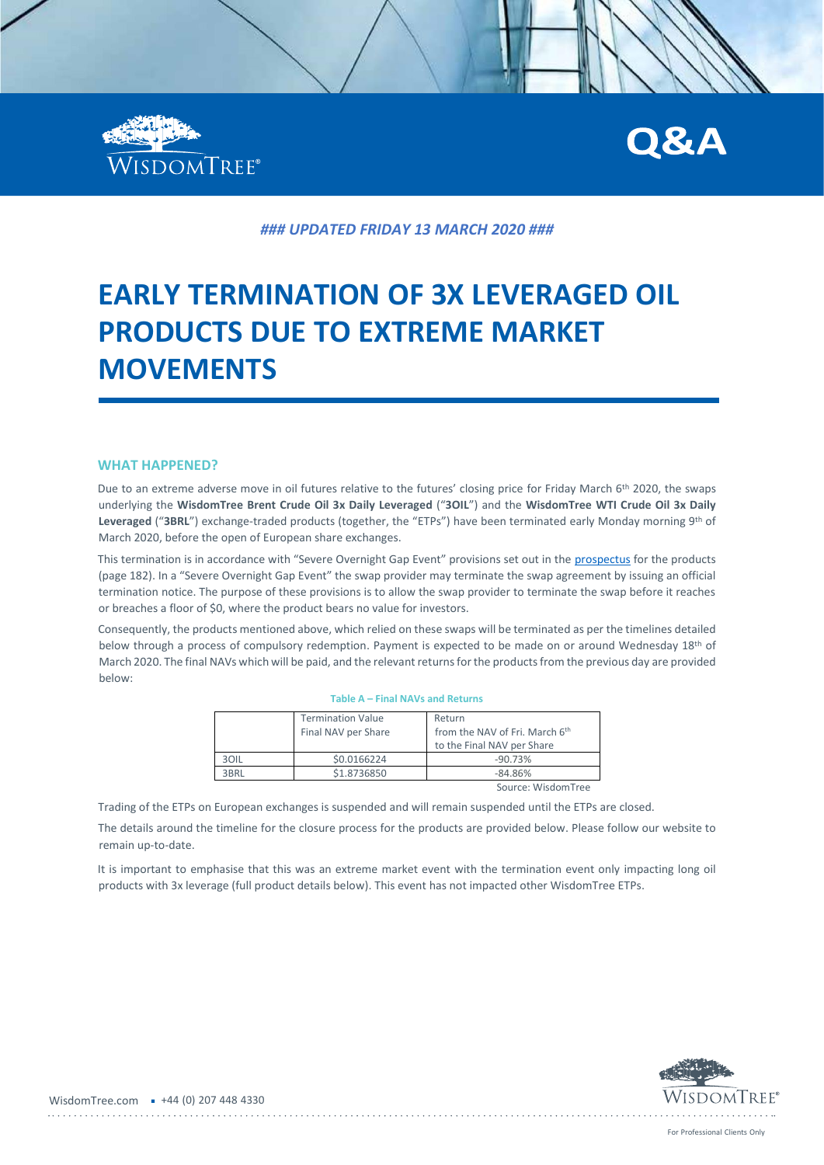



*### UPDATED FRIDAY 13 MARCH 2020 ###*

# **EARLY TERMINATION OF 3X LEVERAGED OIL PRODUCTS DUE TO EXTREME MARKET MOVEMENTS**

#### **WHAT HAPPENED?**

Due to an extreme adverse move in oil futures relative to the futures' closing price for Friday March 6<sup>th</sup> 2020, the swaps underlying the **WisdomTree Brent Crude Oil 3x Daily Leveraged** ("**3OIL**") and the **WisdomTree WTI Crude Oil 3x Daily Leveraged** ("**3BRL**") exchange-traded products (together, the "ETPs") have been terminated early Monday morning 9th of March 2020, before the open of European share exchanges.

This termination is in accordance with "Severe Overnight Gap Event" provisions set out in the [prospectus](https://www.wisdomtree.eu/en-gb/-/media/eu-media-files/key-documents/prospectus/boost/boost-base-prospectus-2019.pdf) for the products (page 182). In a "Severe Overnight Gap Event" the swap provider may terminate the swap agreement by issuing an official termination notice. The purpose of these provisions is to allow the swap provider to terminate the swap before it reaches or breaches a floor of \$0, where the product bears no value for investors.

Consequently, the products mentioned above, which relied on these swaps will be terminated as per the timelines detailed below through a process of compulsory redemption. Payment is expected to be made on or around Wednesday 18<sup>th</sup> of March 2020. The final NAVs which will be paid, and the relevant returns for the products from the previous day are provided below:

**Table A – Final NAVs and Returns** 

|      | <b>Termination Value</b><br>Final NAV per Share | Return<br>from the NAV of Fri. March 6th<br>to the Final NAV per Share |
|------|-------------------------------------------------|------------------------------------------------------------------------|
| 30IL | \$0.0166224                                     | $-90.73%$                                                              |
| 3BRL | \$1.8736850                                     | $-84.86%$                                                              |
|      |                                                 | Source: WisdomTree                                                     |

Trading of the ETPs on European exchanges is suspended and will remain suspended until the ETPs are closed.

The details around the timeline for the closure process for the products are provided below. Please follow our website to remain up-to-date.

It is important to emphasise that this was an extreme market event with the termination event only impacting long oil products with 3x leverage (full product details below). This event has not impacted other WisdomTree ETPs.

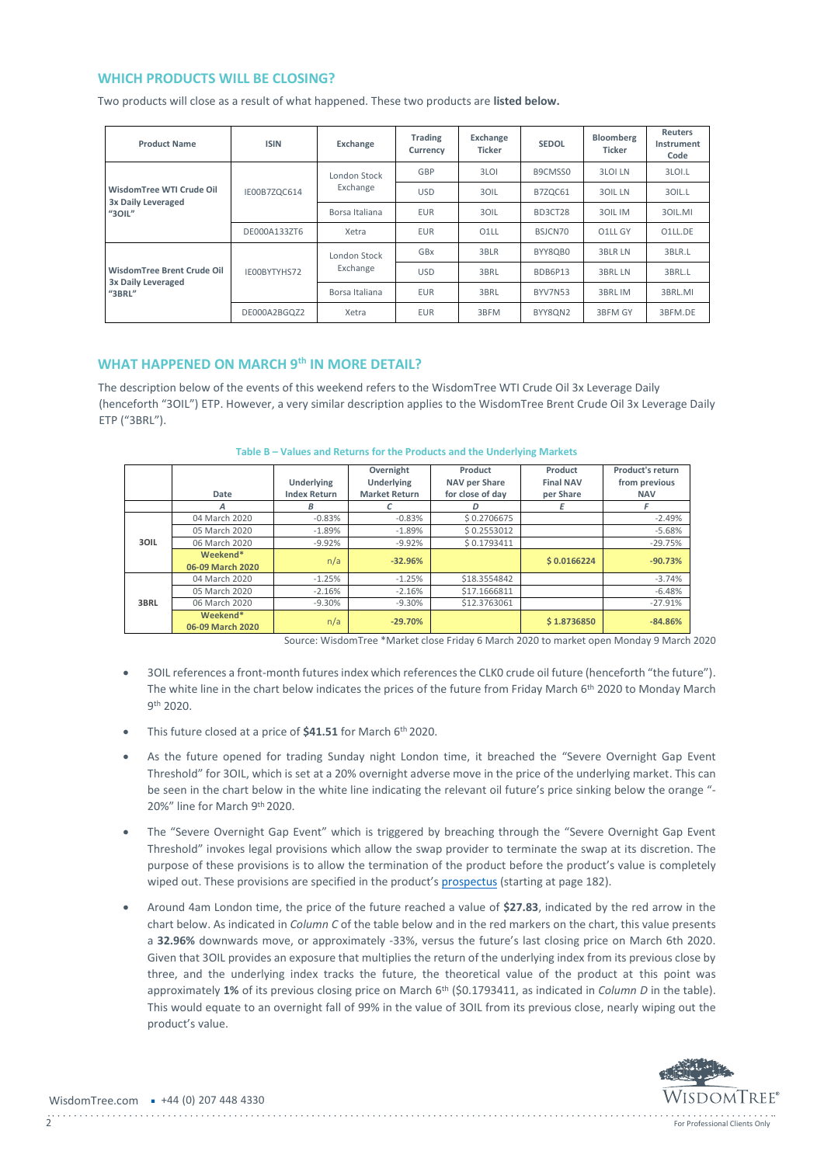## **WHICH PRODUCTS WILL BE CLOSING?**

Two products will close as a result of what happened. These two products are **listed below.**

| <b>Product Name</b>                                         | <b>ISIN</b>  | Exchange                 | <b>Trading</b><br>Currency | Exchange<br>Ticker | <b>SEDOL</b>   | <b>Bloomberg</b><br><b>Ticker</b> | <b>Reuters</b><br>Instrument<br>Code |
|-------------------------------------------------------------|--------------|--------------------------|----------------------------|--------------------|----------------|-----------------------------------|--------------------------------------|
| WisdomTree WTI Crude Oil<br>3x Daily Leveraged<br>$"3$ OIL" | IE00B7ZQC614 | London Stock<br>Exchange | GBP                        | 3LOI               | B9CMSS0        | <b>3LOI LN</b>                    | 3LOI.L                               |
|                                                             |              |                          | <b>USD</b>                 | 30IL               | B7ZQC61        | <b>30IL LN</b>                    | 30IL.L                               |
|                                                             |              | Borsa Italiana           | <b>EUR</b>                 | 3OIL               | BD3CT28        | 30IL IM                           | 30IL.MI                              |
|                                                             | DE000A133ZT6 | Xetra                    | <b>EUR</b>                 | 01LL               | BSJCN70        | O1LL GY                           | O1LL.DE                              |
| WisdomTree Brent Crude Oil<br>3x Daily Leveraged<br>"3BRL"  | IE00BYTYHS72 | London Stock<br>Exchange | GBx                        | 3BLR               | BYY8QB0        | <b>3BLR LN</b>                    | 3BLR.L                               |
|                                                             |              |                          | <b>USD</b>                 | 3BRL               | BDB6P13        | <b>3BRL LN</b>                    | 3BRL.L                               |
|                                                             |              | Borsa Italiana           | <b>EUR</b>                 | 3BRL               | <b>BYV7N53</b> | 3BRL IM                           | 3BRL.MI                              |
|                                                             | DE000A2BGQZ2 | Xetra                    | <b>EUR</b>                 | 3BFM               | BYY8QN2        | 3BFM GY                           | 3BFM.DE                              |

## **WHAT HAPPENED ON MARCH 9th IN MORE DETAIL?**

The description below of the events of this weekend refers to the WisdomTree WTI Crude Oil 3x Leverage Daily (henceforth "3OIL") ETP. However, a very similar description applies to the WisdomTree Brent Crude Oil 3x Leverage Daily ETP ("3BRL").

|      | Date                         | <b>Underlying</b><br><b>Index Return</b> | Overnight<br>Underlying<br><b>Market Return</b> | Product<br>NAV per Share<br>for close of day | Product<br><b>Final NAV</b><br>per Share | <b>Product's return</b><br>from previous<br><b>NAV</b> |
|------|------------------------------|------------------------------------------|-------------------------------------------------|----------------------------------------------|------------------------------------------|--------------------------------------------------------|
|      | А                            | В                                        |                                                 | D                                            |                                          |                                                        |
| 3OIL | 04 March 2020                | $-0.83%$                                 | $-0.83%$                                        | \$0.2706675                                  |                                          | $-2.49%$                                               |
|      | 05 March 2020                | $-1.89%$                                 | $-1.89%$                                        | \$0.2553012                                  |                                          | $-5.68%$                                               |
|      | 06 March 2020                | $-9.92%$                                 | $-9.92%$                                        | \$0.1793411                                  |                                          | $-29.75%$                                              |
|      | Weekend*                     | n/a                                      | $-32.96%$                                       |                                              | \$0.0166224                              | $-90.73%$                                              |
|      | 06-09 March 2020             |                                          |                                                 |                                              |                                          |                                                        |
|      | 04 March 2020                | $-1.25%$                                 | $-1.25%$                                        | \$18.3554842                                 |                                          | $-3.74%$                                               |
| 3BRL | 05 March 2020                | $-2.16%$                                 | $-2.16%$                                        | \$17.1666811                                 |                                          | $-6.48%$                                               |
|      | 06 March 2020                | $-9.30%$                                 | $-9.30%$                                        | \$12.3763061                                 |                                          | $-27.91%$                                              |
|      | Weekend*<br>06-09 March 2020 | n/a                                      | $-29.70%$                                       |                                              | \$1.8736850                              | $-84.86%$                                              |

#### **Table B – Values and Returns for the Products and the Underlying Markets**

Source: WisdomTree \*Market close Friday 6 March 2020 to market open Monday 9 March 2020

- 3OIL references a front-month futures index which references the CLK0 crude oil future (henceforth "the future"). The white line in the chart below indicates the prices of the future from Friday March 6th 2020 to Monday March 9 th 2020.
- This future closed at a price of **\$41.51** for March 6th 2020.
- As the future opened for trading Sunday night London time, it breached the "Severe Overnight Gap Event Threshold" for 3OIL, which is set at a 20% overnight adverse move in the price of the underlying market. This can be seen in the chart below in the white line indicating the relevant oil future's price sinking below the orange "- 20%" line for March 9th 2020.
- The "Severe Overnight Gap Event" which is triggered by breaching through the "Severe Overnight Gap Event Threshold" invokes legal provisions which allow the swap provider to terminate the swap at its discretion. The purpose of these provisions is to allow the termination of the product before the product's value is completely wiped out. These provisions are specified in the product's [prospectus](https://www.wisdomtree.eu/en-gb/-/media/eu-media-files/key-documents/prospectus/boost/boost-base-prospectus-2019.pdf) (starting at page 182).
- Around 4am London time, the price of the future reached a value of **\$27.83**, indicated by the red arrow in the chart below. As indicated in *Column C* of the table below and in the red markers on the chart, this value presents a **32.96%** downwards move, or approximately -33%, versus the future's last closing price on March 6th 2020. Given that 3OIL provides an exposure that multiplies the return of the underlying index from its previous close by three, and the underlying index tracks the future, the theoretical value of the product at this point was approximately **1%** of its previous closing price on March 6th (\$0.1793411, as indicated in *Column D* in the table). This would equate to an overnight fall of 99% in the value of 3OIL from its previous close, nearly wiping out the product's value.

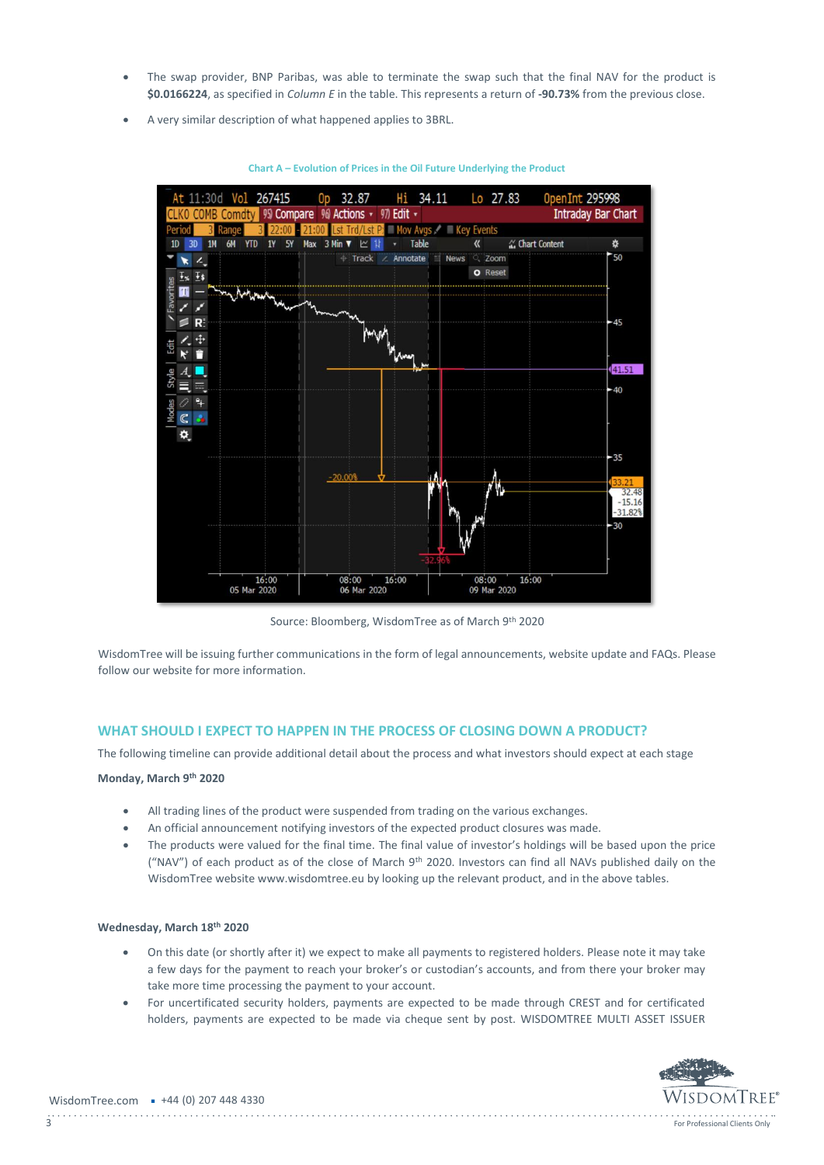- The swap provider, BNP Paribas, was able to terminate the swap such that the final NAV for the product is **\$0.0166224**, as specified in *Column E* in the table. This represents a return of **-90.73%** from the previous close.
- A very similar description of what happened applies to 3BRL.



**Chart A – Evolution of Prices in the Oil Future Underlying the Product**

Source: Bloomberg, WisdomTree as of March 9th 2020

WisdomTree will be issuing further communications in the form of legal announcements, website update and FAQs. Please follow our website for more information.

### **WHAT SHOULD I EXPECT TO HAPPEN IN THE PROCESS OF CLOSING DOWN A PRODUCT?**

The following timeline can provide additional detail about the process and what investors should expect at each stage

### **Monday, March 9th 2020**

- All trading lines of the product were suspended from trading on the various exchanges.
- An official announcement notifying investors of the expected product closures was made.
- The products were valued for the final time. The final value of investor's holdings will be based upon the price ("NAV") of each product as of the close of March 9th 2020. Investors can find all NAVs published daily on the WisdomTree website www.wisdomtree.eu by looking up the relevant product, and in the above tables.

#### **Wednesday, March 18th 2020**

- On this date (or shortly after it) we expect to make all payments to registered holders. Please note it may take a few days for the payment to reach your broker's or custodian's accounts, and from there your broker may take more time processing the payment to your account.
- For uncertificated security holders, payments are expected to be made through CREST and for certificated holders, payments are expected to be made via cheque sent by post. WISDOMTREE MULTI ASSET ISSUER

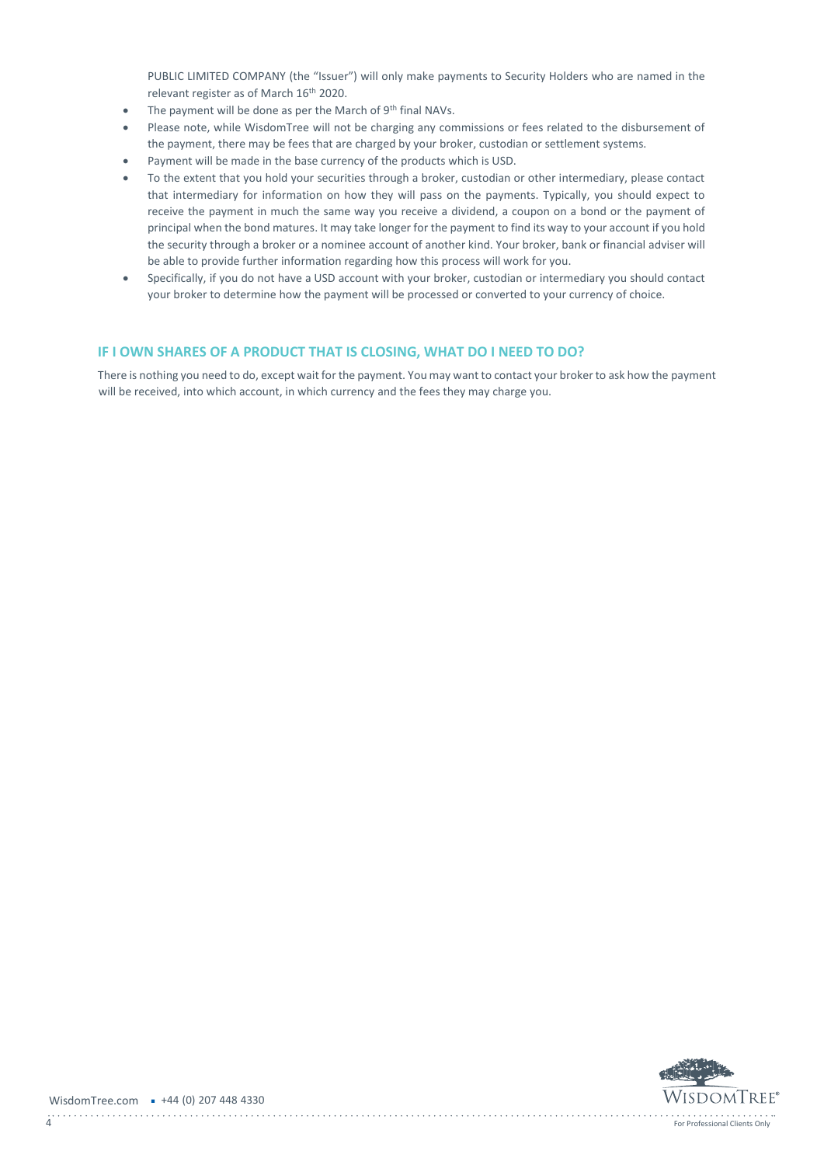PUBLIC LIMITED COMPANY (the "Issuer") will only make payments to Security Holders who are named in the relevant register as of March 16th 2020.

- The payment will be done as per the March of 9<sup>th</sup> final NAVs.
- Please note, while WisdomTree will not be charging any commissions or fees related to the disbursement of the payment, there may be fees that are charged by your broker, custodian or settlement systems.
- Payment will be made in the base currency of the products which is USD.
- To the extent that you hold your securities through a broker, custodian or other intermediary, please contact that intermediary for information on how they will pass on the payments. Typically, you should expect to receive the payment in much the same way you receive a dividend, a coupon on a bond or the payment of principal when the bond matures. It may take longer for the payment to find its way to your account if you hold the security through a broker or a nominee account of another kind. Your broker, bank or financial adviser will be able to provide further information regarding how this process will work for you.
- Specifically, if you do not have a USD account with your broker, custodian or intermediary you should contact your broker to determine how the payment will be processed or converted to your currency of choice.

## **IF I OWN SHARES OF A PRODUCT THAT IS CLOSING, WHAT DO I NEED TO DO?**

There is nothing you need to do, except wait for the payment. You may want to contact your broker to ask how the payment will be received, into which account, in which currency and the fees they may charge you.